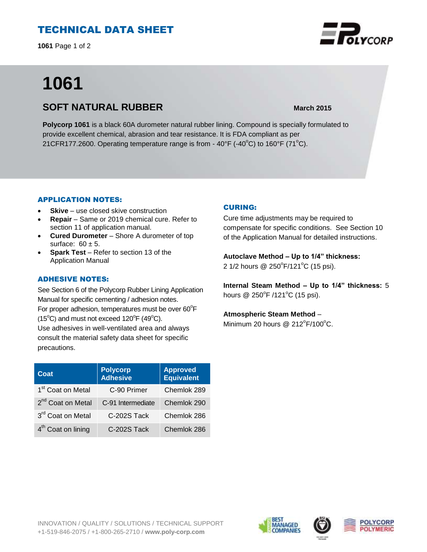# TECHNICAL DATA SHEET

**1061** Page 1 of 2

# **1061**

# **SOFT NATURAL RUBBER March** 2015

**Polycorp 1061** is a black 60A durometer natural rubber lining. Compound is specially formulated to provide excellent chemical, abrasion and tear resistance. It is FDA compliant as per 21CFR177.2600. Operating temperature range is from -  $40^{\circ}$ F (- $40^{\circ}$ C) to 160°F (71 $^{\circ}$ C).

## APPLICATION NOTES:

- **Skive** use closed skive construction
- **Repair**  Same or 2019 chemical cure. Refer to section 11 of application manual.
- **Cured Durometer** Shore A durometer of top surface:  $60 \pm 5$ .
- **Spark Test** Refer to section 13 of the Application Manual

## ADHESIVE NOTES:

See Section 6 of the Polycorp Rubber Lining Application Manual for specific cementing / adhesion notes. For proper adhesion, temperatures must be over  $60^{\circ}$ F  $(15^{\circ}C)$  and must not exceed  $120^{\circ}F(49^{\circ}C)$ . Use adhesives in well-ventilated area and always consult the material safety data sheet for specific precautions.

| Coat                           | <b>Polycorp</b><br><b>Adhesive</b> | <b>Approved</b><br><b>Equivalent</b> |
|--------------------------------|------------------------------------|--------------------------------------|
| 1 <sup>st</sup> Coat on Metal  | C-90 Primer                        | Chemlok 289                          |
| 2 <sup>nd</sup> Coat on Metal  | C-91 Intermediate                  | Chemlok 290                          |
| 3rd Coat on Metal              | C-202S Tack                        | Chemlok 286                          |
| 4 <sup>th</sup> Coat on lining | C-202S Tack                        | Chemlok 286                          |

## CURING:

Cure time adjustments may be required to compensate for specific conditions. See Section 10 of the Application Manual for detailed instructions.

**Autoclave Method – Up to 1/4" thickness:** 2 1/2 hours @ 250°F/121°C (15 psi).

**Internal Steam Method – Up to 1/4" thickness:** 5 hours  $@$  250 $^{\circ}$ F /121 $^{\circ}$ C (15 psi).

## **Atmospheric Steam Method** –

Minimum 20 hours @  $212^{\circ}F/100^{\circ}C$ .